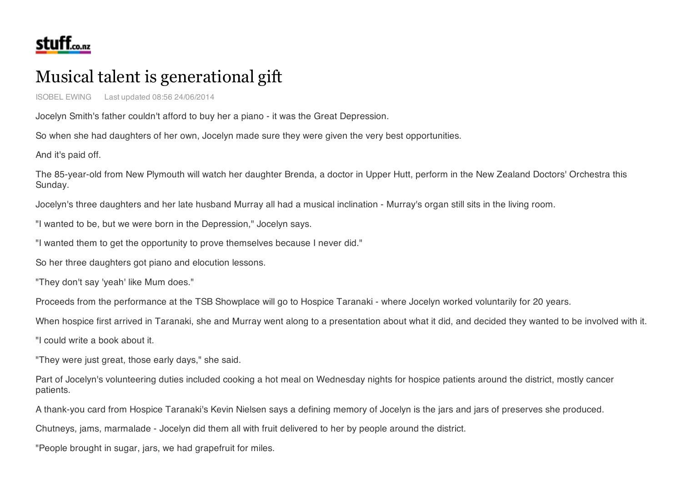

## Musical talent is generational gift

ISOBEL EWING Last updated 08:56 24/06/2014

Jocelyn Smith's father couldn't afford to buy her a piano - it was the Great Depression.

So when she had daughters of her own, Jocelyn made sure they were given the very best opportunities.

And it's paid off.

The 85-year-old from New Plymouth will watch her daughter Brenda, a doctor in Upper Hutt, perform in the New Zealand Doctors' Orchestra this Sunday.

Jocelyn's three daughters and her late husband Murray all had a musical inclination - Murray's organ still sits in the living room.

"I wanted to be, but we were born in the Depression," Jocelyn says.

"I wanted them to get the opportunity to prove themselves because I never did."

So her three daughters got piano and elocution lessons.

"They don't say 'yeah' like Mum does."

Proceeds from the performance at the TSB Showplace will go to Hospice Taranaki - where Jocelyn worked voluntarily for 20 years.

When hospice first arrived in Taranaki, she and Murray went along to a presentation about what it did, and decided they wanted to be involved with it.

"I could write a book about it.

"They were just great, those early days," she said.

Part of Jocelyn's volunteering duties included cooking a hot meal on Wednesday nights for hospice patients around the district, mostly cancer patients.

A thank-you card from Hospice Taranaki's Kevin Nielsen says a defining memory of Jocelyn is the jars and jars of preserves she produced.

Chutneys, jams, marmalade - Jocelyn did them all with fruit delivered to her by people around the district.

"People brought in sugar, jars, we had grapefruit for miles.